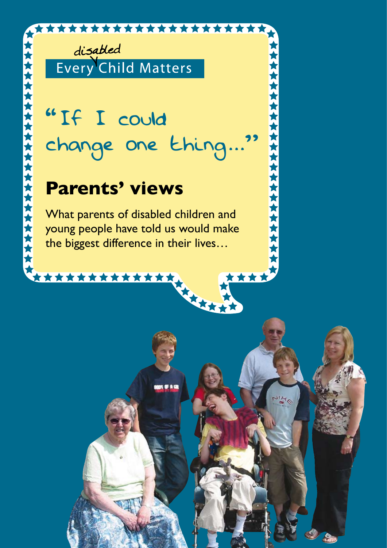

disabled Every Child Matters

# "If I could change one thing..."

\*\*\*\*\*\*\*\*\*\*\*\*\*\*\*\*

\*\*\*\*\*\*\*\*\*\*\*\*\*\*\*\*\*\*\*\*

\*\*\*\*

# **Parents' views**

What parents of disabled children and young people have told us would make the biggest difference in their lives…

OIL E NOI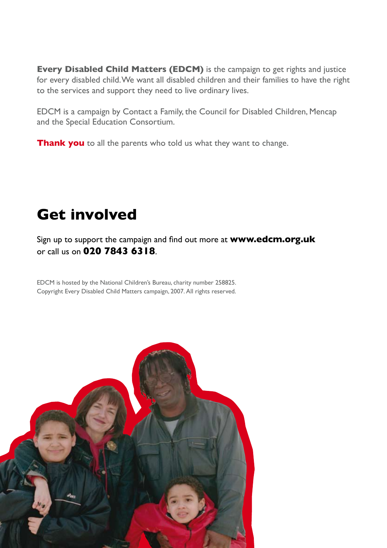**Every Disabled Child Matters (EDCM)** is the campaign to get rights and justice for every disabled child. We want all disabled children and their families to have the right to the services and support they need to live ordinary lives.

EDCM is a campaign by Contact a Family, the Council for Disabled Children, Mencap and the Special Education Consortium.

**Thank you** to all the parents who told us what they want to change.

# **Get involved**

Sign up to support the campaign and find out more at **www.edcm.org.uk**  or call us on **020 7843 6318**.

EDCM is hosted by the National Children's Bureau, charity number 258825. Copyright Every Disabled Child Matters campaign, 2007. All rights reserved.

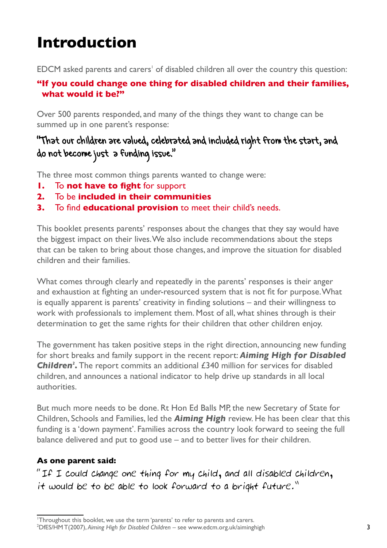# **Introduction**

EDCM asked parents and carers' of disabled children all over the country this question:

#### **"If you could change one thing for disabled children and their families, what would it be?"**

Over 500 parents responded, and many of the things they want to change can be summed up in one parent's response:

# "That our children are valued, celebrated and included right from the start, and do not become just a funding issue."

The three most common things parents wanted to change were:

- **1.** To **not have to fight** for support
- **2.** To be **included in their communities**
- **3.** To find **educational provision** to meet their child's needs.

This booklet presents parents' responses about the changes that they say would have the biggest impact on their lives. We also include recommendations about the steps that can be taken to bring about those changes, and improve the situation for disabled children and their families.

What comes through clearly and repeatedly in the parents' responses is their anger and exhaustion at fighting an under-resourced system that is not fit for purpose. What is equally apparent is parents' creativity in finding solutions – and their willingness to work with professionals to implement them. Most of all, what shines through is their determination to get the same rights for their children that other children enjoy.

The government has taken positive steps in the right direction, announcing new funding for short breaks and family support in the recent report: *Aiming High for Disabled*  **Children<sup>2</sup>**. The report commits an additional £340 million for services for disabled children, and announces a national indicator to help drive up standards in all local authorities.

But much more needs to be done. Rt Hon Ed Balls MP, the new Secretary of State for Children, Schools and Families, led the *Aiming High* review. He has been clear that this funding is a 'down payment'. Families across the country look forward to seeing the full balance delivered and put to good use – and to better lives for their children.

#### **As one parent said:**

"If I could change one thing for my child, and all disabled children, it would be to be able to look forward to a bright future."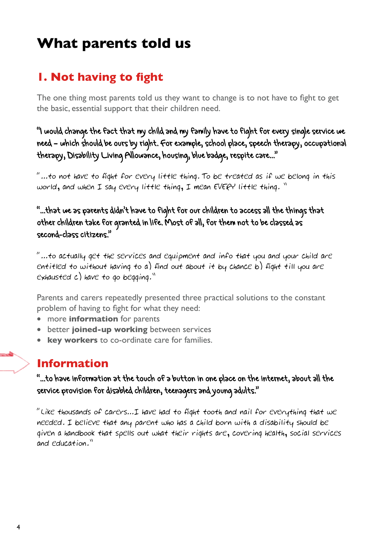# **What parents told us**

# **1. Not having to fight**

The one thing most parents told us they want to change is to not have to fight to get the basic, essential support that their children need.

"I would change the fact that my child and my family have to fight for every single service we need – which should be ours by right. For example, school place, speech therapy, occupational therapy, Disability Living Allowance, housing, blue badge, respite care..."

"...to not have to fight for every little thing. To be treated as if we belong in this world, and when I say every little thing, I mean EVERY little thing. "

"...that we as parents didn't have to fight for our children to access all the things that other children take for granted in life. Most of all, for them not to be classed as second-class citizens."

"…to actually get the services and equipment and info that you and your child are entitled to without having to a) find out about it by chance b) fight till you are exhausted c) have to go begging."

Parents and carers repeatedly presented three practical solutions to the constant problem of having to fight for what they need:

- more **information** for parents
- better **joined-up working** between services
- **key workers** to co-ordinate care for families.

### **Information**

"...to have information at the touch of a button in one place on the internet, about all the service provision for disabled children, teenagers and young adults."

"Like thousands of carers…I have had to fight tooth and nail for everything that we needed. I believe that any parent who has a child born with a disability should be given a handbook that spells out what their rights are, covering health, social services and education."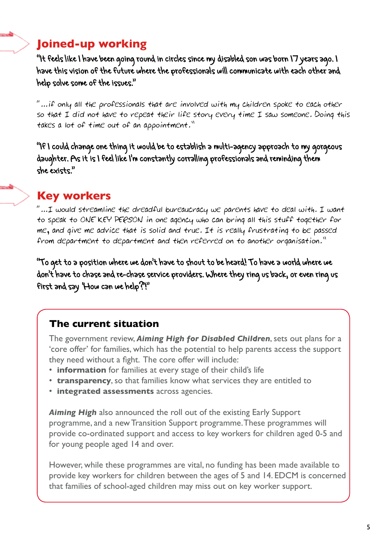# **Joined-up working**

"It feels like I have been going round in circles since my disabled son was born 17 years ago. I have this vision of the future where the professionals will communicate with each other and help solve some of the issues."

"…if only all the professionals that are involved with my children spoke to each other so that I did not have to repeat their life story every time I saw someone. Doing this takes a lot of time out of an appointment."

"If I could change one thing it would be to establish a multi-agency approach to my gorgeous daughter. As it is I feel like I'm constantly corralling professionals and reminding them she exists."

# **Key workers**

 $"...$ I would streamline the dreadful bureaucracy we parents have to deal with. I want to speak to ONE KEY PERSON in one agency who can bring all this stuff together for me, and give me advice that is solid and true. It is really frustrating to be passed from department to department and then referred on to another organisation."

"To get to a position where we don't have to shout to be heard! To have a world where we don't have to chase and re-chase service providers. Where they ring us back, or even ring us first and say 'How can we help?'!"

### **The current situation**

 The government review, *Aiming High for Disabled Children*, sets out plans for a 'core offer' for families, which has the potential to help parents access the support they need without a fight. The core offer will include:

- **information** for families at every stage of their child's life
- **transparency**, so that families know what services they are entitled to
- **integrated assessments** across agencies.

 *Aiming High* also announced the roll out of the existing Early Support programme, and a new Transition Support programme. These programmes will provide co-ordinated support and access to key workers for children aged 0-5 and for young people aged 14 and over.

 However, while these programmes are vital, no funding has been made available to provide key workers for children between the ages of 5 and 14. EDCM is concerned that families of school-aged children may miss out on key worker support.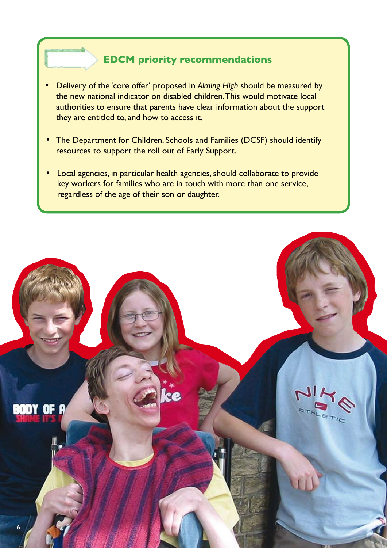#### **EDCM priority recommendations**

 $\overline{a}$ I

 $\blacksquare$ 

 $\overline{a}$ I

- Delivery of the 'core offer' proposed in *Aiming High* should be measured by the new national indicator on disabled children. This would motivate local authorities to ensure that parents have clear information about the support they are entitled to, and how to access it.
- The Department for Children, Schools and Families (DCSF) should identify resources to support the roll out of Early Support.
- Local agencies, in particular health agencies, should collaborate to provide key workers for families who are in touch with more than one service, regardless of the age of their son or daughter.

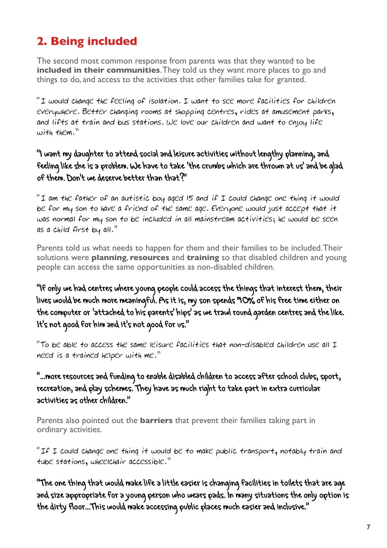# **2. Being included**

The second most common response from parents was that they wanted to be **included in their communities**. They told us they want more places to go and things to do, and access to the activities that other families take for granted.

"I would change the feeling of isolation. I want to see more facilities for children everywhere. Better changing rooms at shopping centres, rides at amusement parks, and lifts at train and bus stations. We love our children and want to enjoy life with them."

#### "I want my daughter to attend social and leisure activities without lengthy planning, and feeling like she is a problem. We have to take 'the crumbs which are thrown at us' and be glad of them. Don't we deserve better than that?"

"I am the father of an autistic boy aged 15 and if I could change one thing it would be for my son to have a friend of the same age. Everyone would just accept that it was normal for my son to be included in all mainstream activities; he would be seen as a child first by all."

Parents told us what needs to happen for them and their families to be included. Their solutions were **planning**, **resources** and **training** so that disabled children and young people can access the same opportunities as non-disabled children.

"If only we had centres where young people could access the things that interest them, their lives would be much more meaningful. As it is, my son spends 90% of his free time either on the computer or 'attached to his parents' hips' as we trawl round garden centres and the like. It's not good for him and it's not good for us."

"To be able to access the same leisure facilities that non-disabled children use all I need is a trained helper with me."

#### "...more resources and funding to enable disabled children to access after school clubs, sport, recreation, and play schemes. They have as much right to take part in extra curricular activities as other children."

Parents also pointed out the **barriers** that prevent their families taking part in ordinary activities.

"If I could change one thing it would be to make public transport, notably train and tube stations, wheelchair accessible."

"The one thing that would make life a little easier is changing facilities in toilets that are age and size appropriate for a young person who wears pads. In many situations the only option is the dirty floor...This would make accessing public places much easier and inclusive."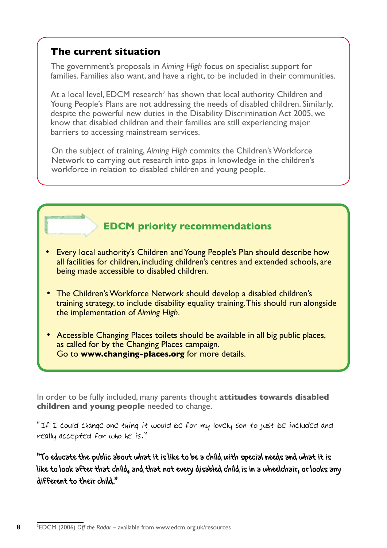#### **The current situation**

 $\overline{a}$ I

8

 $\sqrt{ }$ 

 The government's proposals in *Aiming High* focus on specialist support for families. Families also want, and have a right, to be included in their communities.

 $\blacksquare$  At a local level, EDCM research<sup>3</sup> has shown that local authority Children and Young People's Plans are not addressing the needs of disabled children. Similarly, despite the powerful new duties in the Disability Discrimination Act 2005, we know that disabled children and their families are still experiencing major barriers to accessing mainstream services.

 On the subject of training, *Aiming High* commits the Children's Workforce Network to carrying out research into gaps in knowledge in the children's workforce in relation to disabled children and young people.

### **EDCM priority recommendations**

- Every local authority's Children and Young People's Plan should describe how all facilities for children, including children's centres and extended schools, are being made accessible to disabled children.
- The Children's Workforce Network should develop a disabled children's training strategy, to include disability equality training. This should run alongside the implementation of *Aiming High*.
- Accessible Changing Places toilets should be available in all big public places, as called for by the Changing Places campaign. Go to **www.changing-places.org** for more details.

In order to be fully included, many parents thought **attitudes towards disabled children and young people** needed to change.

"If I could change one thing it would be for my lovely son to just be included and really accepted for who he is."

"To educate the public about what it is like to be a child with special needs and what it is like to look after that child, and that not every disabled child is in a wheelchair, or looks any different to their child."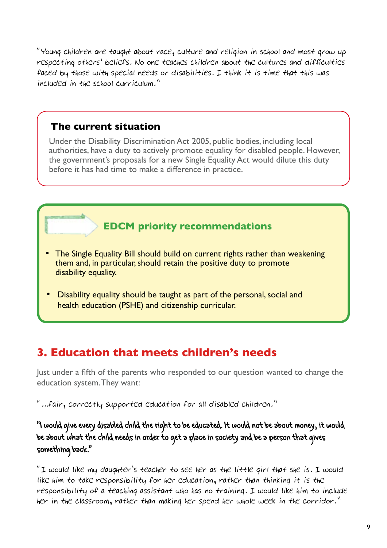"Young children are taught about race, culture and religion in school and most grow up respecting others' beliefs. No one teaches children about the cultures and difficulties faced by those with special needs or disabilities. I think it is time that this was included in the school curriculum."

#### **The current situation**

 $\overline{a}$ I

**IR** 

 Under the Disability Discrimination Act 2005, public bodies, including local authorities, have a duty to actively promote equality for disabled people. However, the government's proposals for a new Single Equality Act would dilute this duty before it has had time to make a difference in practice.

# **EDCM priority recommendations**

- The Single Equality Bill should build on current rights rather than weakening them and, in particular, should retain the positive duty to promote disability equality.
- Disability equality should be taught as part of the personal, social and health education (PSHE) and citizenship curricular.

# **3. Education that meets children's needs**

Just under a fifth of the parents who responded to our question wanted to change the education system. They want:

"...fair, correctly supported education for all disabled children."

"I would give every disabled child the right to be educated. It would not be about money, it would be about what the child needs in order to get a place in society and be a person that gives something back."

"I would like my daughter's teacher to see her as the little girl that she is. I would like him to take responsibility for her education, rather than thinking it is the responsibility of a teaching assistant who has no training. I would like him to include her in the classroom, rather than making her spend her whole week in the corridor."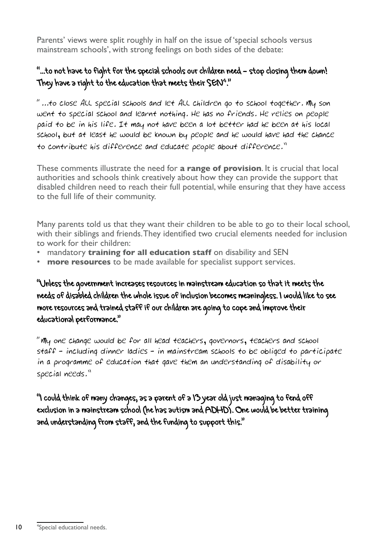Parents' views were split roughly in half on the issue of 'special schools versus mainstream schools', with strong feelings on both sides of the debate:

### "...to not have to fight for the special schools our children need – stop closing them down! They have a right to the education that meets their SEN<sup>4</sup>."

"...to close ALL special schools and let ALL children go to school together. My son went to special school and learnt nothing. He has no friends. He relies on people paid to be in his life. It may not have been a lot better had he been at his local school, but at least he would be known by people and he would have had the chance to contribute his difference and educate people about difference."

These comments illustrate the need for **a range of provision**. It is crucial that local authorities and schools think creatively about how they can provide the support that disabled children need to reach their full potential, while ensuring that they have access to the full life of their community.

Many parents told us that they want their children to be able to go to their local school, with their siblings and friends. They identified two crucial elements needed for inclusion to work for their children:

- mandatory **training for all education staff** on disability and SEN
- **more resources** to be made available for specialist support services.

"Unless the government increases resources in mainstream education so that it meets the needs of disabled children the whole issue of inclusion becomes meaningless. I would like to see more resources and trained staff if our children are going to cope and improve their educational performance."

"My one change would be for all head teachers, governors, teachers and school staff – including dinner ladies – in mainstream schools to be obliged to participate in a programme of education that gave them an understanding of disability or special needs."

"I could think of many changes, as a parent of a 13 year old just managing to fend off exclusion in a mainstream school (he has autism and ADHD). One would be better training and understanding from staff, and the funding to support this."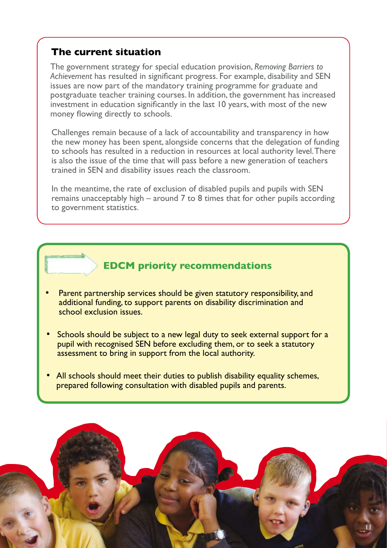#### **The current situation**

 $\overline{a}$ I

 $\overline{a}$ 

I

**B** 

 The government strategy for special education provision, *Removing Barriers to Achievement* has resulted in significant progress. For example, disability and SEN issues are now part of the mandatory training programme for graduate and postgraduate teacher training courses. In addition, the government has increased investment in education significantly in the last 10 years, with most of the new money flowing directly to schools.

 Challenges remain because of a lack of accountability and transparency in how the new money has been spent, alongside concerns that the delegation of funding to schools has resulted in a reduction in resources at local authority level. There is also the issue of the time that will pass before a new generation of teachers trained in SEN and disability issues reach the classroom.

In the meantime, the rate of exclusion of disabled pupils and pupils with SEN remains unacceptably high – around 7 to 8 times that for other pupils according to government statistics.

#### **EDCM priority recommendations**

- Parent partnership services should be given statutory responsibility, and additional funding, to support parents on disability discrimination and school exclusion issues.
- Schools should be subject to a new legal duty to seek external support for a pupil with recognised SEN before excluding them, or to seek a statutory assessment to bring in support from the local authority.
- All schools should meet their duties to publish disability equality schemes, prepared following consultation with disabled pupils and parents.

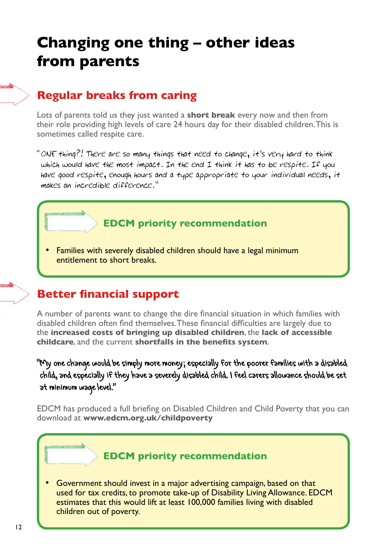# **Changing one thing – other ideas from parents**

# **Regular breaks from caring**

Lots of parents told us they just wanted a **short break** every now and then from their role providing high levels of care 24 hours day for their disabled children. This is sometimes called respite care.

"ONE thing?! There are so many things that need to change, it's very hard to think which would have the most impact. In the end I think it has to be respite. If you have good respite, enough hours and a type appropriate to your individual needs, it makes an incredible difference."

#### **EDCM priority recommendation**

 • Families with severely disabled children should have a legal minimum entitlement to short breaks.

### **Better financial support**

A number of parents want to change the dire financial situation in which families with disabled children often find themselves. These financial difficulties are largely due to the **increased costs of bringing up disabled children**, the **lack of accessible childcare**, and the current **shortfalls in the benefits system**.

"My one change would be simply more money; especially for the poorer families with a disabled child, and especially if they have a severely disabled child. I feel carers allowance should be set at minimum wage level."

EDCM has produced a full briefing on Disabled Children and Child Poverty that you can download at **www.edcm.org.uk/childpoverty**

#### **EDCM priority recommendation**

 • Government should invest in a major advertising campaign, based on that used for tax credits, to promote take-up of Disability Living Allowance. EDCM estimates that this would lift at least 100,000 families living with disabled children out of poverty.

 $\overline{a}$ I

 $\overline{a}$ 

 $\overline{a}$ I

I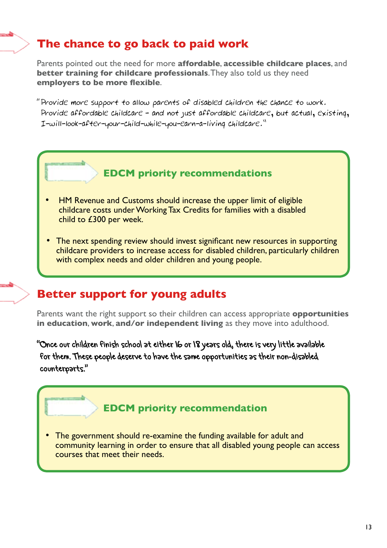# **The chance to go back to paid work**

Parents pointed out the need for more **affordable**, **accessible childcare places**, and **better training for childcare professionals.** They also told us they need **employers to be more flexible**.

"Provide more support to allow parents of disabled children the chance to work. Provide affordable childcare – and not just affordable childcare, but actual, existing, I-will-look-after-your-child-while-you-earn-a-living childcare."



- HM Revenue and Customs should increase the upper limit of eligible childcare costs under Working Tax Credits for families with a disabled child to £300 per week.
- The next spending review should invest significant new resources in supporting childcare providers to increase access for disabled children, particularly children with complex needs and older children and young people.

# **Better support for young adults**

 $\overline{a}$ I

F

 $\overline{a}$ 

Parents want the right support so their children can access appropriate **opportunities in education**, **work**, **and/or independent living** as they move into adulthood.

"Once our children finish school at either 16 or 18 years old, there is very little available for them. These people deserve to have the same opportunities as their non-disabled counterparts."

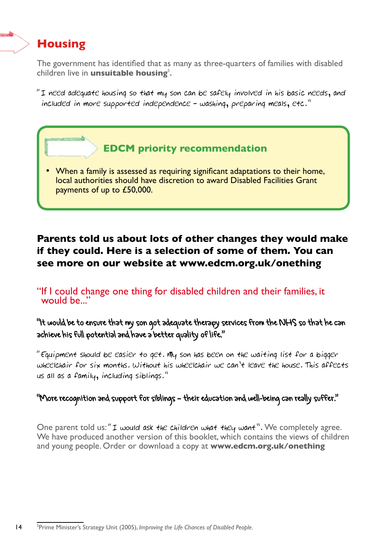# **Housing**

 $\overline{a}$ I

1

**INCORPORATION** 

The government has identified that as many as three-quarters of families with disabled children live in **unsuitable housing**<sup>5</sup>.

"I need adequate housing so that my son can be safely involved in his basic needs, and included in more supported independence – washing, preparing meals, etc."

# **EDCM priority recommendation**

 • When a family is assessed as requiring significant adaptations to their home, local authorities should have discretion to award Disabled Facilities Grant payments of up to £50,000.

### **Parents told us about lots of other changes they would make if they could. Here is a selection of some of them. You can see more on our website at www.edcm.org.uk/onething**

"If I could change one thing for disabled children and their families, it would be..."

"It would be to ensure that my son got adequate therapy services from the NHS so that he can achieve his full potential and have a better quality of life."

"Equipment should be easier to get. My son has been on the waiting list for a bigger wheelchair for six months. Without his wheelchair we can't leave the house. This affects us all as a family, including siblings."

#### "More recognition and support for siblings – their education and well-being can really suffer."

One parent told us: "I would ask the children what they want". We completely agree. We have produced another version of this booklet, which contains the views of children and young people. Order or download a copy at **www.edcm.org.uk/onething**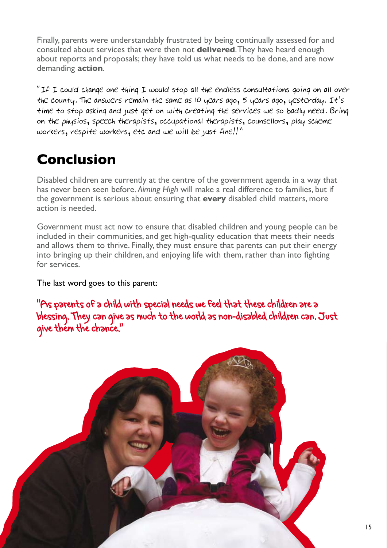Finally, parents were understandably frustrated by being continually assessed for and consulted about services that were then not **delivered**. They have heard enough about reports and proposals; they have told us what needs to be done, and are now demanding **action**.

"If I could change one thing I would stop all the endless consultations going on all over the county. The answers remain the same as 10 years ago, 5 years ago, yesterday. It's time to stop asking and just get on with creating the services we so badly need. Bring on the physios, speech therapists, occupational therapists, counsellors, play scheme workers, respite workers, etc and we will be just fine!!"

# **Conclusion**

Disabled children are currently at the centre of the government agenda in a way that has never been seen before. *Aiming High* will make a real difference to families, but if the government is serious about ensuring that **every** disabled child matters, more action is needed.

Government must act now to ensure that disabled children and young people can be included in their communities, and get high-quality education that meets their needs and allows them to thrive. Finally, they must ensure that parents can put their energy into bringing up their children, and enjoying life with them, rather than into fighting for services.

#### The last word goes to this parent:

"As parents of a child with special needs we feel that these children are a blessing. They can give as much to the world as non-disabled children can. Just give them the chance."